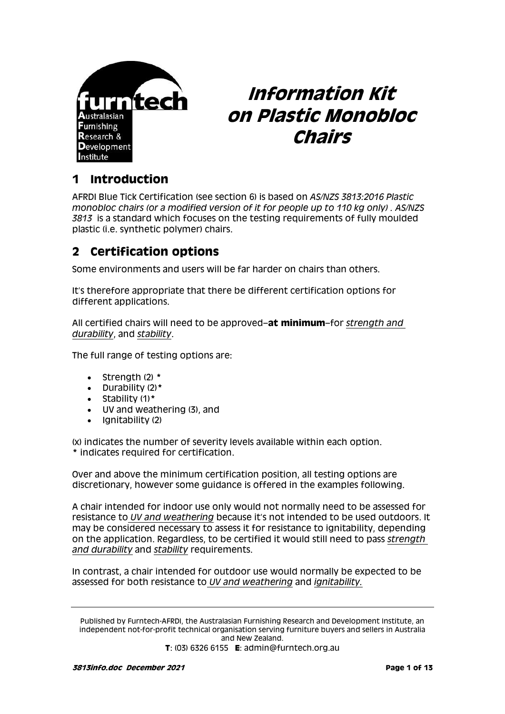

# **Information Kit on Plastic Monobloc Chairs**

# **1 Introduction**

AFRDI Blue Tick Certification (see section 6) is based on *AS/NZS 3813:2016 Plastic monobloc chairs (or a modified version of it for people up to 110 kg only) . AS/NZS 3813* is a standard which focuses on the testing requirements of fully moulded plastic (i.e. synthetic polymer) chairs.

# **2 Certification options**

Some environments and users will be far harder on chairs than others.

It's therefore appropriate that there be different certification options for different applications.

All certified chairs will need to be approved–**at minimum**–for *strength and durability*, and *stability*.

The full range of testing options are:

- Strength (2) **\***
- Durability (2)**\***
- Stability (1)**\***
- UV and weathering (3), and
- $\bullet$  Ignitability (2)

(x) indicates the number of severity levels available within each option. **\*** indicates required for certification.

Over and above the minimum certification position, all testing options are discretionary, however some guidance is offered in the examples following.

A chair intended for indoor use only would not normally need to be assessed for resistance to *UV and weathering* because it's not intended to be used outdoors. It may be considered necessary to assess it for resistance to ignitability, depending on the application. Regardless, to be certified it would still need to pass *strength and durability* and *stability* requirements.

In contrast, a chair intended for outdoor use would normally be expected to be assessed for both resistance to *UV and weathering* and *ignitability.*

Published by Furntech-AFRDI, the Australasian Furnishing Research and Development Institute, an independent not-for-profit technical organisation serving furniture buyers and sellers in Australia and New Zealand.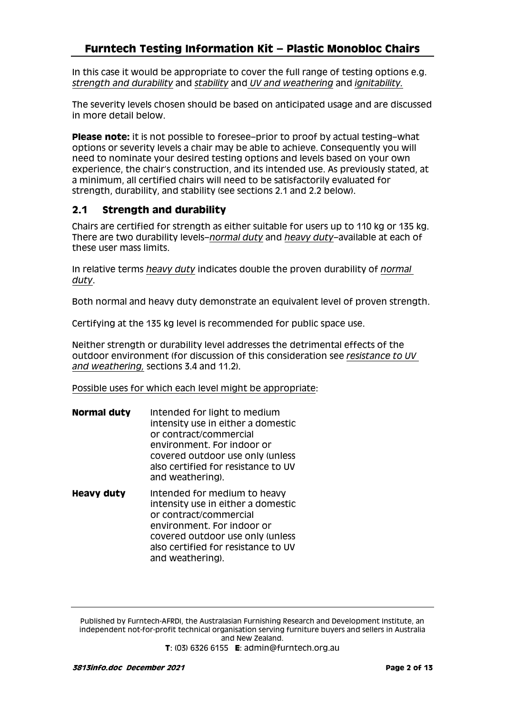In this case it would be appropriate to cover the full range of testing options e.g. *strength and durability* and *stability* and *UV and weathering* and *ignitability.*

The severity levels chosen should be based on anticipated usage and are discussed in more detail below.

**Please note:** it is not possible to foresee–prior to proof by actual testing–what options or severity levels a chair may be able to achieve. Consequently you will need to nominate your desired testing options and levels based on your own experience, the chair's construction, and its intended use. As previously stated, at a minimum, all certified chairs will need to be satisfactorily evaluated for strength, durability, and stability (see sections 2.1 and 2.2 below).

### **2.1 Strength and durability**

Chairs are certified for strength as either suitable for users up to 110 kg or 135 kg. There are two durability levels–*normal duty* and *heavy duty–*available at each of these user mass limits.

In relative terms *heavy duty* indicates double the proven durability of *normal duty*.

Both normal and heavy duty demonstrate an equivalent level of proven strength.

Certifying at the 135 kg level is recommended for public space use.

Neither strength or durability level addresses the detrimental effects of the outdoor environment (for discussion of this consideration see *resistance to UV and weathering,* sections 3.4 and 11.2).

Possible uses for which each level might be appropriate:

- **Normal duty** Intended for light to medium intensity use in either a domestic or contract/commercial environment. For indoor or covered outdoor use only (unless also certified for resistance to UV and weathering).
- **Heavy duty** Intended for medium to heavy intensity use in either a domestic or contract/commercial environment. For indoor or covered outdoor use only (unless also certified for resistance to UV and weathering).

Published by Furntech-AFRDI, the Australasian Furnishing Research and Development Institute, an independent not-for-profit technical organisation serving furniture buyers and sellers in Australia and New Zealand.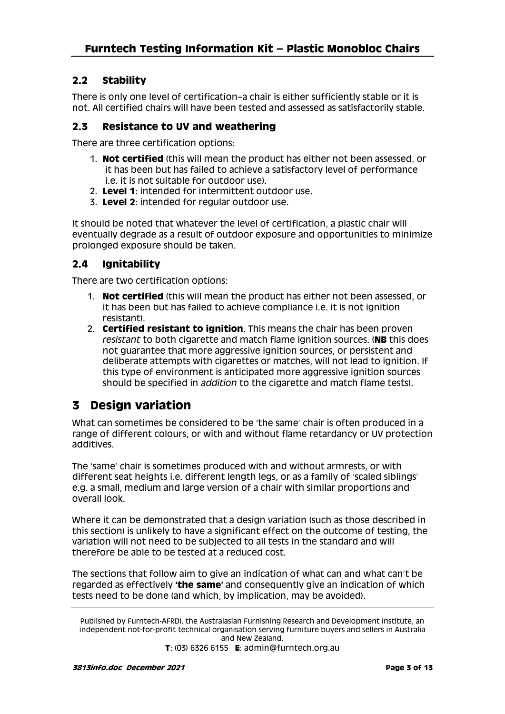### **2.2 Stability**

There is only one level of certification–a chair is either sufficiently stable or it is not. All certified chairs will have been tested and assessed as satisfactorily stable.

### **2.3 Resistance to UV and weathering**

There are three certification options:

- 1. **Not certified** (this will mean the product has either not been assessed, or it has been but has failed to achieve a satisfactory level of performance i.e. it is not suitable for outdoor use).
- 2. **Level 1**: intended for intermittent outdoor use.
- 3. **Level 2**: intended for regular outdoor use.

It should be noted that whatever the level of certification, a plastic chair will eventually degrade as a result of outdoor exposure and opportunities to minimize prolonged exposure should be taken.

### **2.4 Ignitability**

There are two certification options:

- 1. **Not certified** (this will mean the product has either not been assessed, or it has been but has failed to achieve compliance i.e. it is not ignition resistant).
- 2. **Certified resistant to ignition**. This means the chair has been proven *resistant* to both cigarette and match flame ignition sources. (**NB** this does not guarantee that more aggressive ignition sources, or persistent and deliberate attempts with cigarettes or matches, will not lead to ignition. If this type of environment is anticipated more aggressive ignition sources should be specified in *addition* to the cigarette and match flame tests).

# **3 Design variation**

What can sometimes be considered to be 'the same' chair is often produced in a range of different colours, or with and without flame retardancy or UV protection additives.

The 'same' chair is sometimes produced with and without armrests, or with different seat heights i.e. different length legs, or as a family of 'scaled siblings' e.g. a small, medium and large version of a chair with similar proportions and overall look.

Where it can be demonstrated that a design variation (such as those described in this section) is unlikely to have a significant effect on the outcome of testing, the variation will not need to be subjected to all tests in the standard and will therefore be able to be tested at a reduced cost.

The sections that follow aim to give an indication of what can and what can't be regarded as effectively **'the same'** and consequently give an indication of which tests need to be done (and which, by implication, may be avoided).

Published by Furntech-AFRDI, the Australasian Furnishing Research and Development Institute, an independent not-for-profit technical organisation serving furniture buyers and sellers in Australia and New Zealand.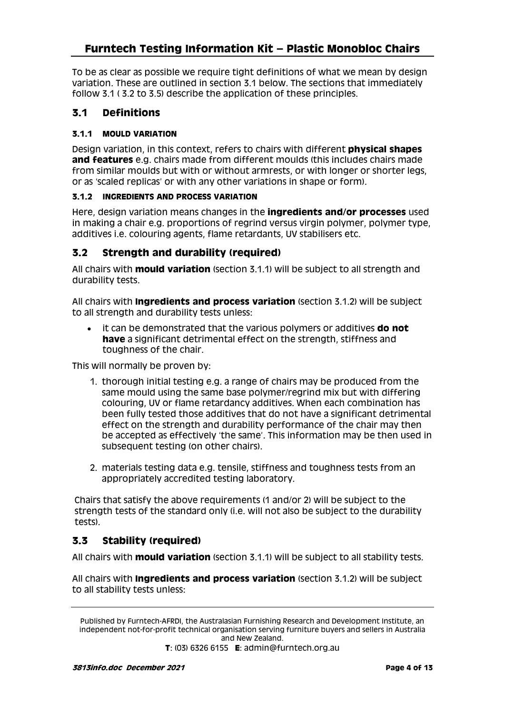To be as clear as possible we require tight definitions of what we mean by design variation. These are outlined in section 3.1 below. The sections that immediately follow 3.1 ( 3.2 to 3.5) describe the application of these principles.

### **3.1 Definitions**

### **3.1.1 MOULD VARIATION**

Design variation, in this context, refers to chairs with different **physical shapes and features** e.g. chairs made from different moulds (this includes chairs made from similar moulds but with or without armrests, or with longer or shorter legs, or as 'scaled replicas' or with any other variations in shape or form).

#### **3.1.2 INGREDIENTS AND PROCESS VARIATION**

Here, design variation means changes in the **ingredients and/or processes** used in making a chair e.g. proportions of regrind versus virgin polymer, polymer type, additives i.e. colouring agents, flame retardants, UV stabilisers etc.

### **3.2 Strength and durability (required)**

All chairs with **mould variation** (section 3.1.1) will be subject to all strength and durability tests.

All chairs with **Ingredients and process variation** (section 3.1.2) will be subject to all strength and durability tests unless:

 it can be demonstrated that the various polymers or additives **do not have** a significant detrimental effect on the strength, stiffness and toughness of the chair.

This will normally be proven by:

- 1. thorough initial testing e.g. a range of chairs may be produced from the same mould using the same base polymer/regrind mix but with differing colouring, UV or flame retardancy additives. When each combination has been fully tested those additives that do not have a significant detrimental effect on the strength and durability performance of the chair may then be accepted as effectively 'the same'. This information may be then used in subsequent testing (on other chairs).
- 2. materials testing data e.g. tensile, stiffness and toughness tests from an appropriately accredited testing laboratory.

Chairs that satisfy the above requirements (1 and/or 2) will be subject to the strength tests of the standard only (i.e. will not also be subject to the durability tests).

### **3.3 Stability (required)**

All chairs with **mould variation** (section 3.1.1) will be subject to all stability tests.

All chairs with **Ingredients and process variation** (section 3.1.2) will be subject to all stability tests unless:

Published by Furntech-AFRDI, the Australasian Furnishing Research and Development Institute, an independent not-for-profit technical organisation serving furniture buyers and sellers in Australia and New Zealand.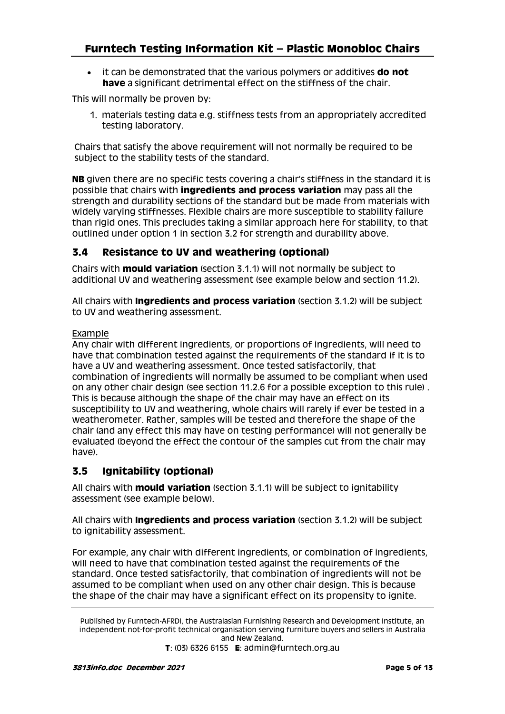it can be demonstrated that the various polymers or additives **do not have** a significant detrimental effect on the stiffness of the chair.

This will normally be proven by:

1. materials testing data e.g. stiffness tests from an appropriately accredited testing laboratory.

Chairs that satisfy the above requirement will not normally be required to be subject to the stability tests of the standard.

**NB** given there are no specific tests covering a chair's stiffness in the standard it is possible that chairs with **ingredients and process variation** may pass all the strength and durability sections of the standard but be made from materials with widely varying stiffnesses. Flexible chairs are more susceptible to stability failure than rigid ones. This precludes taking a similar approach here for stability, to that outlined under option 1 in section 3.2 for strength and durability above.

### **3.4 Resistance to UV and weathering (optional)**

Chairs with **mould variation** (section 3.1.1) will not normally be subject to additional UV and weathering assessment (see example below and section 11.2).

All chairs with **Ingredients and process variation** (section 3.1.2) will be subject to UV and weathering assessment.

#### Example

Any chair with different ingredients, or proportions of ingredients, will need to have that combination tested against the requirements of the standard if it is to have a UV and weathering assessment. Once tested satisfactorily, that combination of ingredients will normally be assumed to be compliant when used on any other chair design (see section 11.2.6 for a possible exception to this rule) . This is because although the shape of the chair may have an effect on its susceptibility to UV and weathering, whole chairs will rarely if ever be tested in a weatherometer. Rather, samples will be tested and therefore the shape of the chair (and any effect this may have on testing performance) will not generally be evaluated (beyond the effect the contour of the samples cut from the chair may have).

### **3.5 Ignitability (optional)**

All chairs with **mould variation** (section 3.1.1) will be subject to ignitability assessment (see example below).

All chairs with **Ingredients and process variation** (section 3.1.2) will be subject to ignitability assessment.

For example, any chair with different ingredients, or combination of ingredients, will need to have that combination tested against the requirements of the standard. Once tested satisfactorily, that combination of ingredients will not be assumed to be compliant when used on any other chair design. This is because the shape of the chair may have a significant effect on its propensity to ignite.

Published by Furntech-AFRDI, the Australasian Furnishing Research and Development Institute, an independent not-for-profit technical organisation serving furniture buyers and sellers in Australia and New Zealand.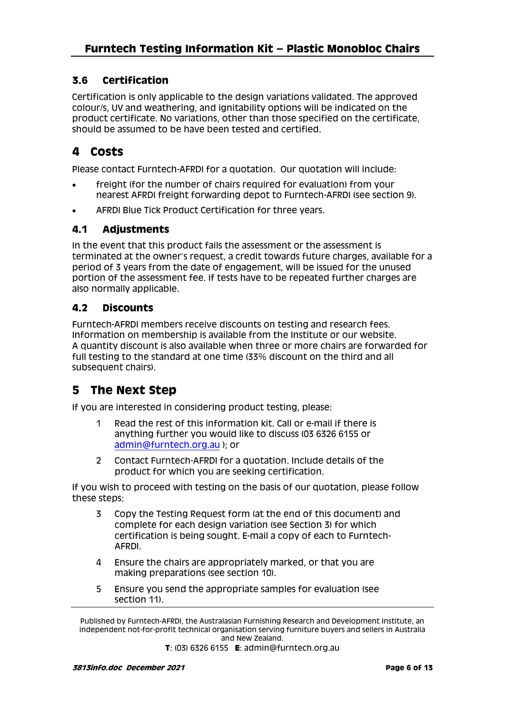### **3.6 Certification**

Certification is only applicable to the design variations validated. The approved colour/s, UV and weathering, and ignitability options will be indicated on the product certificate. No variations, other than those specified on the certificate, should be assumed to be have been tested and certified.

# **4 Costs**

Please contact Furntech-AFRDI for a quotation. Our quotation will include:

- freight (for the number of chairs required for evaluation) from your nearest AFRDI freight forwarding depot to Furntech-AFRDI (see section 9).
- AFRDI Blue Tick Product Certification for three years.

### **4.1 Adjustments**

In the event that this product fails the assessment or the assessment is terminated at the owner's request, a credit towards future charges, available for a period of 3 years from the date of engagement, will be issued for the unused portion of the assessment fee. If tests have to be repeated further charges are also normally applicable.

### **4.2 Discounts**

Furntech-AFRDI members receive discounts on testing and research fees. Information on membership is available from the Institute or our website. A quantity discount is also available when three or more chairs are forwarded for full testing to the standard at one time (33% discount on the third and all subsequent chairs).

# **5 The Next Step**

If you are interested in considering product testing, please:

- 1 Read the rest of this information kit. Call or e-mail if there is anything further you would like to discuss (03 6326 6155 or [admin@furntech.org.au](mailto:admin@furntech.org.au) ); or
- 2 Contact Furntech-AFRDI for a quotation. Include details of the product for which you are seeking certification.

If you wish to proceed with testing on the basis of our quotation, please follow these steps:

- 3 Copy the Testing Request form (at the end of this document) and complete for each design variation (see Section 3) for which certification is being sought. E-mail a copy of each to Furntech-AFRDI.
- 4 Ensure the chairs are appropriately marked, or that you are making preparations (see section 10).
- 5 Ensure you send the appropriate samples for evaluation (see section 11).

Published by Furntech-AFRDI, the Australasian Furnishing Research and Development Institute, an independent not-for-profit technical organisation serving furniture buyers and sellers in Australia and New Zealand.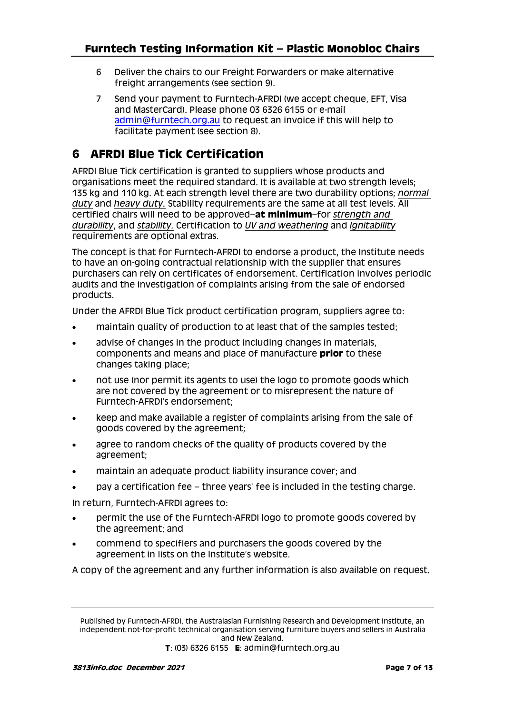- 6 Deliver the chairs to our Freight Forwarders or make alternative freight arrangements (see section 9).
- 7 Send your payment to Furntech-AFRDI (we accept cheque, EFT, Visa and MasterCard). Please phone 03 6326 6155 or e-mail [admin@furntech.org.au](mailto:admin@furntech.org.au) to request an invoice if this will help to facilitate payment (see section 8).

# **6 AFRDI Blue Tick Certification**

AFRDI Blue Tick certification is granted to suppliers whose products and organisations meet the required standard. It is available at two strength levels; 135 kg and 110 kg. At each strength level there are two durability options; *normal duty* and *heavy duty.* Stability requirements are the same at all test levels. All certified chairs will need to be approved–**at minimum**–for *strength and durability*, and *stability.* Certification to *UV and weathering* and *Ignitability* requirements are optional extras.

The concept is that for Furntech-AFRDI to endorse a product, the Institute needs to have an on-going contractual relationship with the supplier that ensures purchasers can rely on certificates of endorsement. Certification involves periodic audits and the investigation of complaints arising from the sale of endorsed products.

Under the AFRDI Blue Tick product certification program, suppliers agree to:

- maintain quality of production to at least that of the samples tested;
- advise of changes in the product including changes in materials, components and means and place of manufacture **prior** to these changes taking place;
- not use (nor permit its agents to use) the logo to promote goods which are not covered by the agreement or to misrepresent the nature of Furntech-AFRDI's endorsement;
- keep and make available a register of complaints arising from the sale of goods covered by the agreement;
- agree to random checks of the quality of products covered by the agreement;
- maintain an adequate product liability insurance cover; and
- pay a certification fee three years' fee is included in the testing charge.

In return, Furntech-AFRDI agrees to:

- permit the use of the Furntech-AFRDI logo to promote goods covered by the agreement; and
- commend to specifiers and purchasers the goods covered by the agreement in lists on the Institute's website.

A copy of the agreement and any further information is also available on request.

Published by Furntech-AFRDI, the Australasian Furnishing Research and Development Institute, an independent not-for-profit technical organisation serving furniture buyers and sellers in Australia and New Zealand.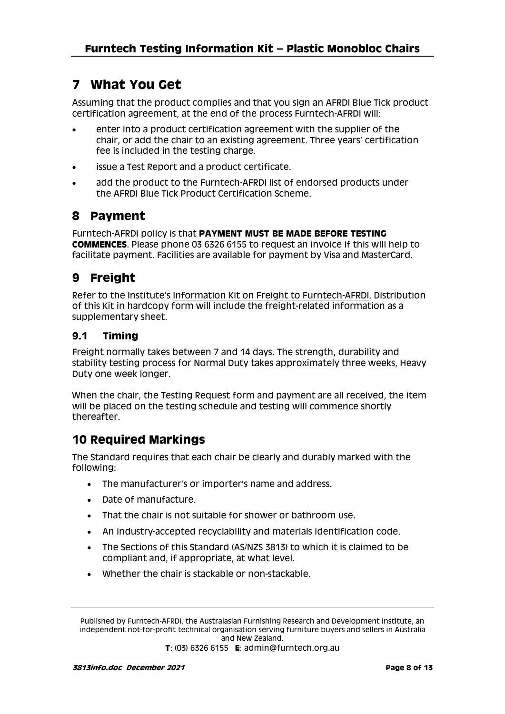# **7 What You Get**

Assuming that the product complies and that you sign an AFRDI Blue Tick product certification agreement, at the end of the process Furntech-AFRDI will:

- enter into a product certification agreement with the supplier of the chair, or add the chair to an existing agreement. Three years' certification fee is included in the testing charge.
- issue a Test Report and a product certificate.
- add the product to the Furntech-AFRDI list of endorsed products under the AFRDI Blue Tick Product Certification Scheme.

# **8 Payment**

Furntech-AFRDI policy is that **PAYMENT MUST BE MADE BEFORE TESTING COMMENCES**. Please phone 03 6326 6155 to request an invoice if this will help to facilitate payment. Facilities are available for payment by Visa and MasterCard.

# **9 Freight**

Refer to the Institute's [Information Kit on Freight to Furntech-AFRDI.](http://furntech.org.au/pdf/index.php?dir=Corporate/&file=FreightInfo.pdf) Distribution of this Kit in hardcopy form will include the freight-related information as a supplementary sheet.

### **9.1 Timing**

Freight normally takes between 7 and 14 days. The strength, durability and stability testing process for Normal Duty takes approximately three weeks, Heavy Duty one week longer.

When the chair, the Testing Request form and payment are all received, the item will be placed on the testing schedule and testing will commence shortly thereafter.

# **10 Required Markings**

The Standard requires that each chair be clearly and durably marked with the following:

- The manufacturer's or importer's name and address.
- Date of manufacture.
- That the chair is not suitable for shower or bathroom use.
- An industry-accepted recyclability and materials identification code.
- The Sections of this Standard (AS/NZS 3813) to which it is claimed to be compliant and, if appropriate, at what level.
- Whether the chair is stackable or non-stackable.

Published by Furntech-AFRDI, the Australasian Furnishing Research and Development Institute, an independent not-for-profit technical organisation serving furniture buyers and sellers in Australia and New Zealand.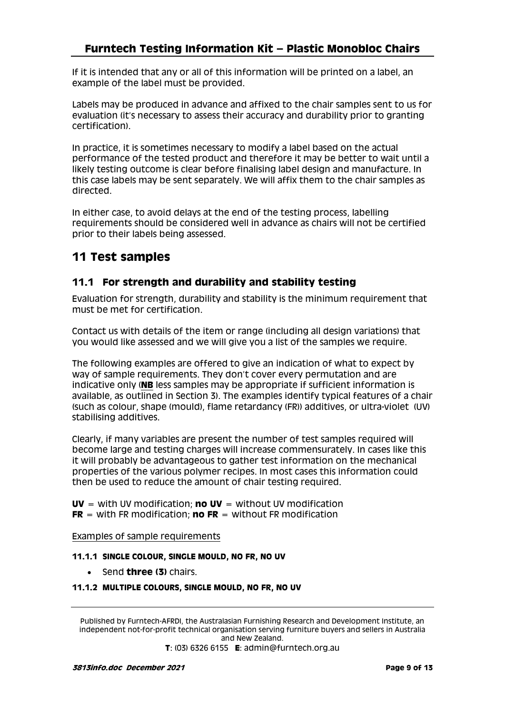If it is intended that any or all of this information will be printed on a label, an example of the label must be provided.

Labels may be produced in advance and affixed to the chair samples sent to us for evaluation (it's necessary to assess their accuracy and durability prior to granting certification).

In practice, it is sometimes necessary to modify a label based on the actual performance of the tested product and therefore it may be better to wait until a likely testing outcome is clear before finalising label design and manufacture. In this case labels may be sent separately. We will affix them to the chair samples as directed.

In either case, to avoid delays at the end of the testing process, labelling requirements should be considered well in advance as chairs will not be certified prior to their labels being assessed.

# **11 Test samples**

### **11.1 For strength and durability and stability testing**

Evaluation for strength, durability and stability is the minimum requirement that must be met for certification.

Contact us with details of the item or range (including all design variations) that you would like assessed and we will give you a list of the samples we require.

The following examples are offered to give an indication of what to expect by way of sample requirements. They don't cover every permutation and are indicative only (**NB** less samples may be appropriate if sufficient information is available, as outlined in Section 3). The examples identify typical features of a chair (such as colour, shape (mould), flame retardancy (FR)) additives, or ultra-violet (UV) stabilising additives.

Clearly, if many variables are present the number of test samples required will become large and testing charges will increase commensurately. In cases like this it will probably be advantageous to gather test information on the mechanical properties of the various polymer recipes. In most cases this information could then be used to reduce the amount of chair testing required.

**UV** = with UV modification; **no UV** = without UV modification **FR** = with FR modification; **no FR** = without FR modification

Examples of sample requirements

#### **11.1.1 SINGLE COLOUR, SINGLE MOULD, NO FR, NO UV**

Send **three (3)** chairs.

#### **11.1.2 MULTIPLE COLOURS, SINGLE MOULD, NO FR, NO UV**

Published by Furntech-AFRDI, the Australasian Furnishing Research and Development Institute, an independent not-for-profit technical organisation serving furniture buyers and sellers in Australia and New Zealand.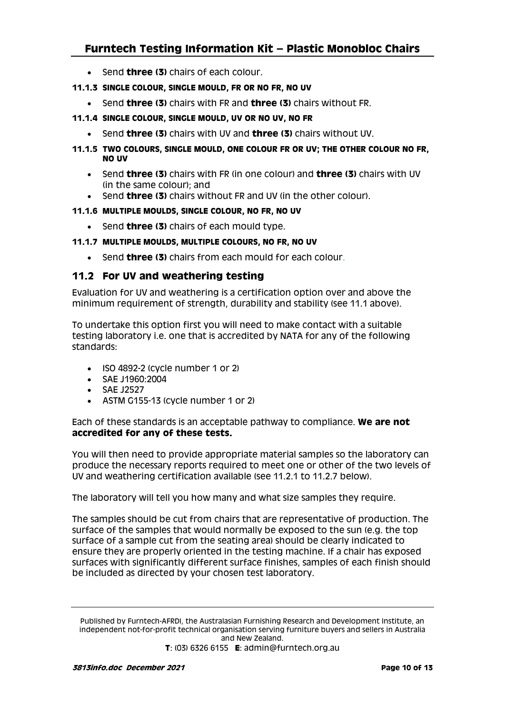- Send **three (3)** chairs of each colour.
- **11.1.3 SINGLE COLOUR, SINGLE MOULD, FR OR NO FR, NO UV**
	- Send **three (3)** chairs with FR and **three (3)** chairs without FR.
- **11.1.4 SINGLE COLOUR, SINGLE MOULD, UV OR NO UV, NO FR**
	- Send **three (3)** chairs with UV and **three (3)** chairs without UV.
- **11.1.5 TWO COLOURS, SINGLE MOULD, ONE COLOUR FR OR UV; THE OTHER COLOUR NO FR, NO UV**
	- Send **three (3)** chairs with FR (in one colour) and **three (3)** chairs with UV (in the same colour); and
	- Send **three (3)** chairs without FR and UV (in the other colour).

#### **11.1.6 MULTIPLE MOULDS, SINGLE COLOUR, NO FR, NO UV**

Send **three (3)** chairs of each mould type.

#### **11.1.7 MULTIPLE MOULDS, MULTIPLE COLOURS, NO FR, NO UV**

Send **three (3)** chairs from each mould for each colour.

### **11.2 For UV and weathering testing**

Evaluation for UV and weathering is a certification option over and above the minimum requirement of strength, durability and stability (see 11.1 above).

To undertake this option first you will need to make contact with a suitable testing laboratory i.e. one that is accredited by NATA for any of the following standards:

- $\cdot$  ISO 4892-2 (cycle number 1 or 2)
- SAE J1960:2004
- SAE J2527
- ASTM G155-13 (cycle number 1 or 2)

Each of these standards is an acceptable pathway to compliance. **We are not accredited for any of these tests.**

You will then need to provide appropriate material samples so the laboratory can produce the necessary reports required to meet one or other of the two levels of UV and weathering certification available (see 11.2.1 to 11.2.7 below).

The laboratory will tell you how many and what size samples they require.

The samples should be cut from chairs that are representative of production. The surface of the samples that would normally be exposed to the sun (e.g. the top surface of a sample cut from the seating area) should be clearly indicated to ensure they are properly oriented in the testing machine. If a chair has exposed surfaces with significantly different surface finishes, samples of each finish should be included as directed by your chosen test laboratory.

Published by Furntech-AFRDI, the Australasian Furnishing Research and Development Institute, an independent not-for-profit technical organisation serving furniture buyers and sellers in Australia and New Zealand. **T**: (03) 6326 6155 **E**: admin@furntech.org.au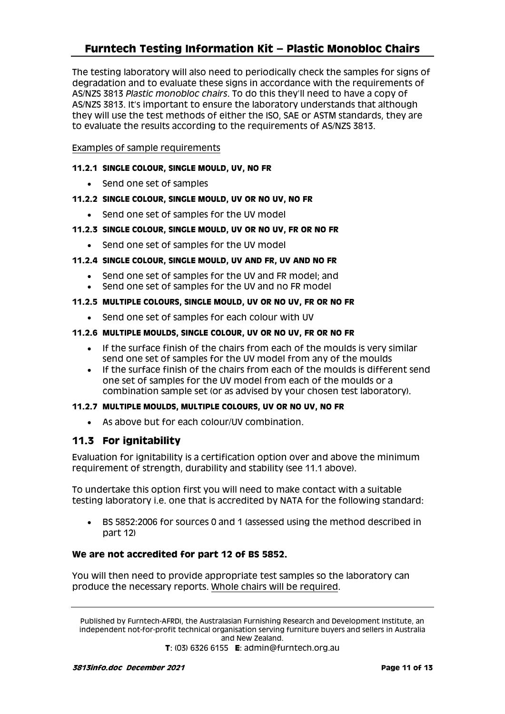The testing laboratory will also need to periodically check the samples for signs of degradation and to evaluate these signs in accordance with the requirements of AS/NZS 3813 *Plastic monobloc chairs*. To do this they'll need to have a copy of AS/NZS 3813. It's important to ensure the laboratory understands that although they will use the test methods of either the ISO, SAE or ASTM standards, they are to evaluate the results according to the requirements of AS/NZS 3813.

#### Examples of sample requirements

#### **11.2.1 SINGLE COLOUR, SINGLE MOULD, UV, NO FR**

• Send one set of samples

#### **11.2.2 SINGLE COLOUR, SINGLE MOULD, UV OR NO UV, NO FR**

- Send one set of samples for the UV model
- **11.2.3 SINGLE COLOUR, SINGLE MOULD, UV OR NO UV, FR OR NO FR**
	- Send one set of samples for the UV model

#### **11.2.4 SINGLE COLOUR, SINGLE MOULD, UV AND FR, UV AND NO FR**

- Send one set of samples for the UV and FR model; and
- Send one set of samples for the UV and no FR model

#### **11.2.5 MULTIPLE COLOURS, SINGLE MOULD, UV OR NO UV, FR OR NO FR**

• Send one set of samples for each colour with UV

#### **11.2.6 MULTIPLE MOULDS, SINGLE COLOUR, UV OR NO UV, FR OR NO FR**

- If the surface finish of the chairs from each of the moulds is very similar send one set of samples for the UV model from any of the moulds
- If the surface finish of the chairs from each of the moulds is different send one set of samples for the UV model from each of the moulds or a combination sample set (or as advised by your chosen test laboratory).

#### **11.2.7 MULTIPLE MOULDS, MULTIPLE COLOURS, UV OR NO UV, NO FR**

As above but for each colour/UV combination.

### **11.3 For ignitability**

Evaluation for ignitability is a certification option over and above the minimum requirement of strength, durability and stability (see 11.1 above).

To undertake this option first you will need to make contact with a suitable testing laboratory i.e. one that is accredited by NATA for the following standard:

 BS 5852:2006 for sources 0 and 1 (assessed using the method described in part 12)

### **We are not accredited for part 12 of BS 5852.**

You will then need to provide appropriate test samples so the laboratory can produce the necessary reports. Whole chairs will be required.

Published by Furntech-AFRDI, the Australasian Furnishing Research and Development Institute, an independent not-for-profit technical organisation serving furniture buyers and sellers in Australia and New Zealand.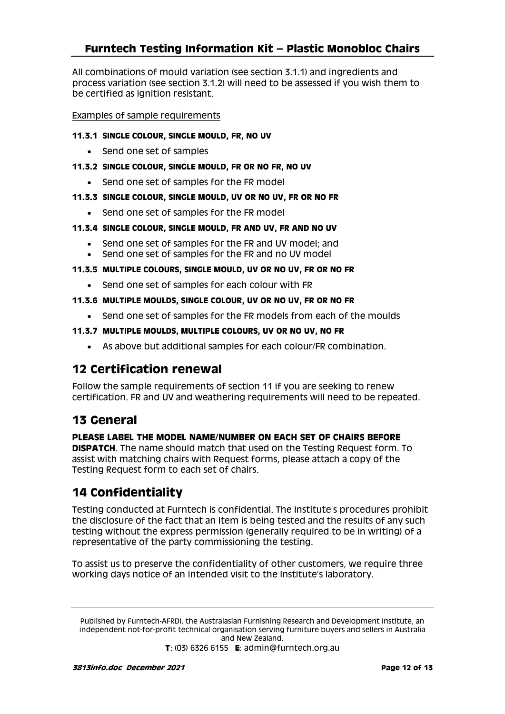All combinations of mould variation (see section 3.1.1) and ingredients and process variation (see section 3.1.2) will need to be assessed if you wish them to be certified as ignition resistant.

#### Examples of sample requirements

- **11.3.1 SINGLE COLOUR, SINGLE MOULD, FR, NO UV**
	- Send one set of samples
- **11.3.2 SINGLE COLOUR, SINGLE MOULD, FR OR NO FR, NO UV**
	- Send one set of samples for the FR model
- **11.3.3 SINGLE COLOUR, SINGLE MOULD, UV OR NO UV, FR OR NO FR**
	- Send one set of samples for the FR model
- **11.3.4 SINGLE COLOUR, SINGLE MOULD, FR AND UV, FR AND NO UV**
	- Send one set of samples for the FR and UV model; and
	- Send one set of samples for the FR and no UV model
- **11.3.5 MULTIPLE COLOURS, SINGLE MOULD, UV OR NO UV, FR OR NO FR**
	- Send one set of samples for each colour with FR
- **11.3.6 MULTIPLE MOULDS, SINGLE COLOUR, UV OR NO UV, FR OR NO FR**
	- Send one set of samples for the FR models from each of the moulds
- **11.3.7 MULTIPLE MOULDS, MULTIPLE COLOURS, UV OR NO UV, NO FR**
	- As above but additional samples for each colour/FR combination.

# **12 Certification renewal**

Follow the sample requirements of section 11 if you are seeking to renew certification. FR and UV and weathering requirements will need to be repeated.

# **13 General**

**PLEASE LABEL THE MODEL NAME/NUMBER ON EACH SET OF CHAIRS BEFORE DISPATCH**. The name should match that used on the Testing Request form. To assist with matching chairs with Request forms, please attach a copy of the Testing Request form to each set of chairs.

# **14 Confidentiality**

Testing conducted at Furntech is confidential. The Institute's procedures prohibit the disclosure of the fact that an item is being tested and the results of any such testing without the express permission (generally required to be in writing) of a representative of the party commissioning the testing.

To assist us to preserve the confidentiality of other customers, we require three working days notice of an intended visit to the Institute's laboratory.

Published by Furntech-AFRDI, the Australasian Furnishing Research and Development Institute, an independent not-for-profit technical organisation serving furniture buyers and sellers in Australia and New Zealand.